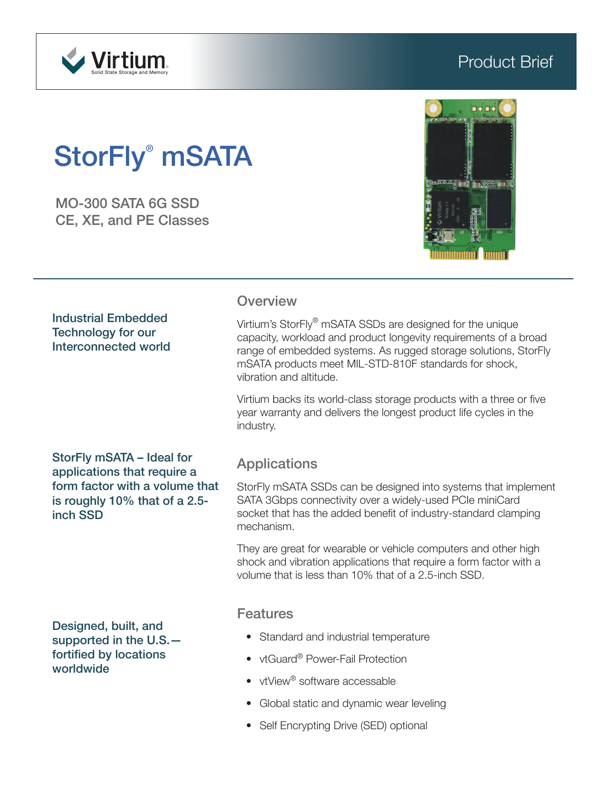

# Product Brief

# StorFly<sup>®</sup> mSATA

MO-300 SATA 6G SSD CE, XE, and PE Classes



#### Industrial Embedded Technology for our Interconnected world

#### **Overview**

Virtium's StorFly® mSATA SSDs are designed for the unique capacity, workload and product longevity requirements of a broad range of embedded systems. As rugged storage solutions, StorFly mSATA products meet MIL-STD-810F standards for shock, vibration and altitude.

Virtium backs its world-class storage products with a three or five year warranty and delivers the longest product life cycles in the industry.

StorFly mSATA – Ideal for applications that require a form factor with a volume that is roughly 10% that of a 2.5 inch SSD

Designed, built, and supported in the U.S. fortified by locations worldwide

# Applications

StorFly mSATA SSDs can be designed into systems that implement SATA 3Gbps connectivity over a widely-used PCIe miniCard socket that has the added benefit of industry-standard clamping mechanism.

They are great for wearable or vehicle computers and other high shock and vibration applications that require a form factor with a volume that is less than 10% that of a 2.5-inch SSD.

#### Features

- Standard and industrial temperature
- vtGuard<sup>®</sup> Power-Fail Protection
- vtView<sup>®</sup> software accessable
- Global static and dynamic wear leveling
- Self Encrypting Drive (SED) optional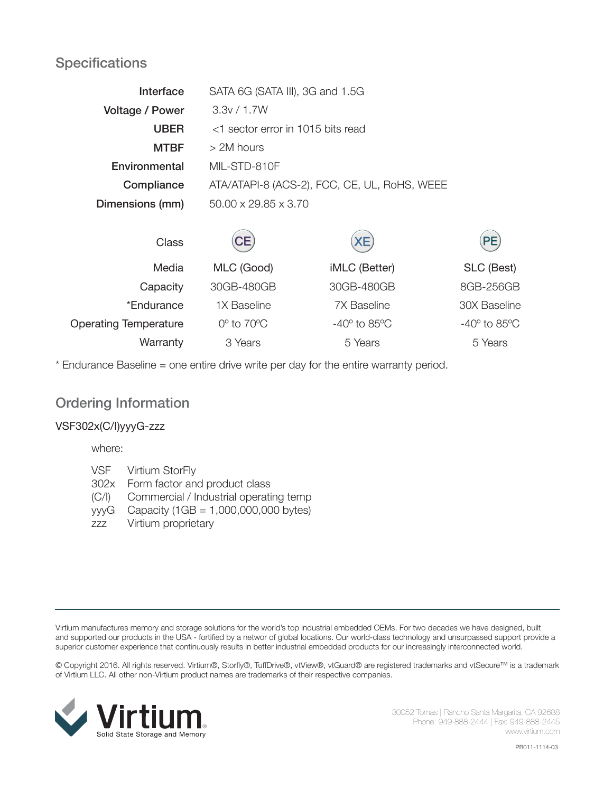# **Specifications**

| Interface              | SATA 6G (SATA III), 3G and 1.5G              |  |  |
|------------------------|----------------------------------------------|--|--|
| <b>Voltage / Power</b> | 3.3v / 1.7W                                  |  |  |
| <b>UBER</b>            | <1 sector error in 1015 bits read            |  |  |
| <b>MTBF</b>            | $>$ 2M hours                                 |  |  |
| Environmental          | MIL-STD-810F                                 |  |  |
| Compliance             | ATA/ATAPI-8 (ACS-2), FCC, CE, UL, RoHS, WEEE |  |  |
| Dimensions (mm)        | $50.00 \times 29.85 \times 3.70$             |  |  |
|                        |                                              |  |  |

| Class                        | CE)                       | xE)                           | PE)                           |
|------------------------------|---------------------------|-------------------------------|-------------------------------|
| Media                        | MLC (Good)                | iMLC (Better)                 | SLC (Best)                    |
| Capacity                     | 30GB-480GB                | 30GB-480GB                    | 8GB-256GB                     |
| *Endurance                   | 1X Baseline               | <b>7X Baseline</b>            | 30X Baseline                  |
| <b>Operating Temperature</b> | $0^\circ$ to $70^\circ C$ | $-40^\circ$ to 85 $\degree$ C | $-40^\circ$ to 85 $\degree$ C |
| Warranty                     | 3 Years                   | 5 Years                       | 5 Years                       |

\* Endurance Baseline = one entire drive write per day for the entire warranty period.

### Ordering Information

#### VSF302x(C/I)yyyG-zzz

where:

- VSF Virtium StorFly
- 302x Form factor and product class
- (C/I) Commercial / Industrial operating temp
- yyyG Capacity (1GB = 1,000,000,000 bytes)
- zzz Virtium proprietary

Virtium manufactures memory and storage solutions for the world's top industrial embedded OEMs. For two decades we have designed, built and supported our products in the USA - fortified by a networ of global locations. Our world-class technology and unsurpassed support provide a superior customer experience that continuously results in better industrial embedded products for our increasingly interconnected world.

© Copyright 2016. All rights reserved. Virtium®, Storfly®, TuffDrive®, vtView®, vtGuard® are registered trademarks and vtSecure™ is a trademark of Virtium LLC. All other non-Virtium product names are trademarks of their respective companies.



30052 Tomas | Rancho Santa Margarita, CA 92688 Phone: 949-888-2444 | Fax: 949-888-2445 www.virtium.com